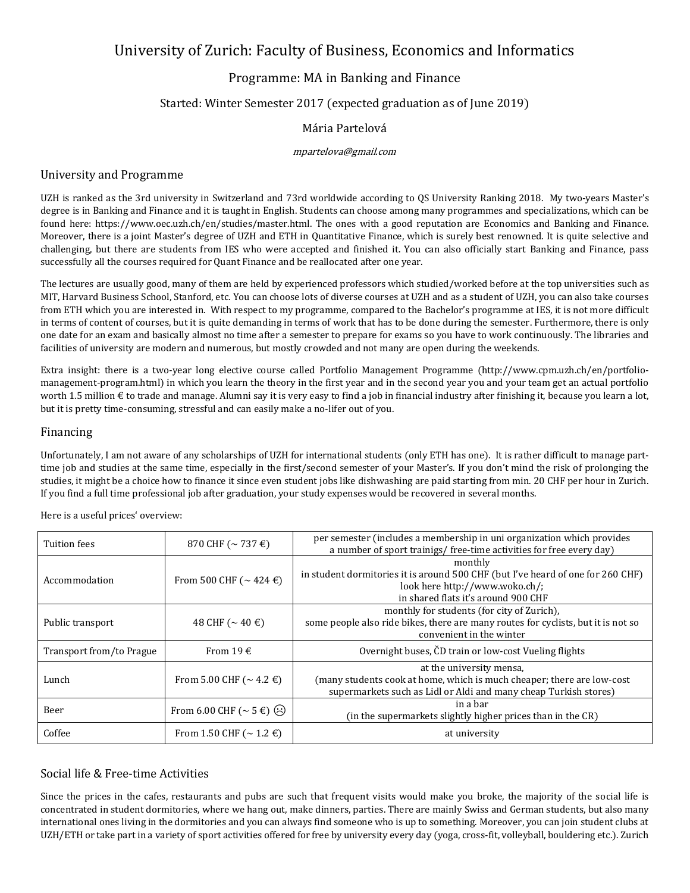# University of Zurich: Faculty of Business, Economics and Informatics

## Programme: MA in Banking and Finance

## Started: Winter Semester 2017 (expected graduation as of June 2019)

### Mária Partelová

#### mpartelova@gmail.com

#### University and Programme

UZH is ranked as the 3rd university in Switzerland and 73rd worldwide according to QS University Ranking 2018. My two-years Master's degree is in Banking and Finance and it is taught in English. Students can choose among many programmes and specializations, which can be found here: https://www.oec.uzh.ch/en/studies/master.html. The ones with a good reputation are Economics and Banking and Finance. Moreover, there is a joint Master's degree of UZH and ETH in Quantitative Finance, which is surely best renowned. It is quite selective and challenging, but there are students from IES who were accepted and finished it. You can also officially start Banking and Finance, pass successfully all the courses required for Quant Finance and be reallocated after one year.

The lectures are usually good, many of them are held by experienced professors which studied/worked before at the top universities such as MIT, Harvard Business School, Stanford, etc. You can choose lots of diverse courses at UZH and as a student of UZH, you can also take courses from ETH which you are interested in. With respect to my programme, compared to the Bachelor's programme at IES, it is not more difficult in terms of content of courses, but it is quite demanding in terms of work that has to be done during the semester. Furthermore, there is only one date for an exam and basically almost no time after a semester to prepare for exams so you have to work continuously. The libraries and facilities of university are modern and numerous, but mostly crowded and not many are open during the weekends.

Extra insight: there is a two-year long elective course called Portfolio Management Programme (http://www.cpm.uzh.ch/en/portfoliomanagement-program.html) in which you learn the theory in the first year and in the second year you and your team get an actual portfolio worth 1.5 million  $\epsilon$  to trade and manage. Alumni say it is very easy to find a job in financial industry after finishing it, because you learn a lot, but it is pretty time-consuming, stressful and can easily make a no-lifer out of you.

#### Financing

Unfortunately, I am not aware of any scholarships of UZH for international students (only ETH has one). It is rather difficult to manage parttime job and studies at the same time, especially in the first/second semester of your Master's. If you don't mind the risk of prolonging the studies, it might be a choice how to finance it since even student jobs like dishwashing are paid starting from min. 20 CHF per hour in Zurich. If you find a full time professional job after graduation, your study expenses would be recovered in several months.

Tuition fees 870 CHF (~ 737 €) per semester (includes a membership in uni organization which provides  $\frac{1}{2}$ a number of sport trainigs/ free-time activities for free every day) Accommodation From 500 CHF ( $\sim$  424 €) monthly in student dormitories it is around 500 CHF (but I've heard of one for 260 CHF) look here http://www.woko.ch/; in shared flats it's around 900 CHF Public transport  $48 \text{ CHF } (-40 \text{ } \infty)$ monthly for students (for city of Zurich), some people also ride bikes, there are many routes for cyclists, but it is not so convenient in the winter Transport from/to Prague  $\begin{vmatrix} 1 & 0 \end{vmatrix}$  From 19  $\epsilon$   $\begin{vmatrix} 1 & 0 \end{vmatrix}$  Overnight buses, CD train or low-cost Vueling flights Lunch From 5.00 CHF ( $\sim$  4.2  $\in$ ) at the university mensa, (many students cook at home, which is much cheaper; there are low-cost supermarkets such as Lidl or Aldi and many cheap Turkish stores) Beer  $\Big|$  From 6.00 CHF (~ 5 €)  $\bigodot$  in the supermarkets clightly high (in the supermarkets slightly higher prices than in the CR) Coffee From 1.50 CHF ( $\sim$  1.2  $\epsilon$ ) at university

Here is a useful prices' overview:

## Social life & Free-time Activities

Since the prices in the cafes, restaurants and pubs are such that frequent visits would make you broke, the majority of the social life is concentrated in student dormitories, where we hang out, make dinners, parties. There are mainly Swiss and German students, but also many international ones living in the dormitories and you can always find someone who is up to something. Moreover, you can join student clubs at UZH/ETH or take part in a variety of sport activities offered for free by university every day (yoga, cross-fit, volleyball, bouldering etc.). Zurich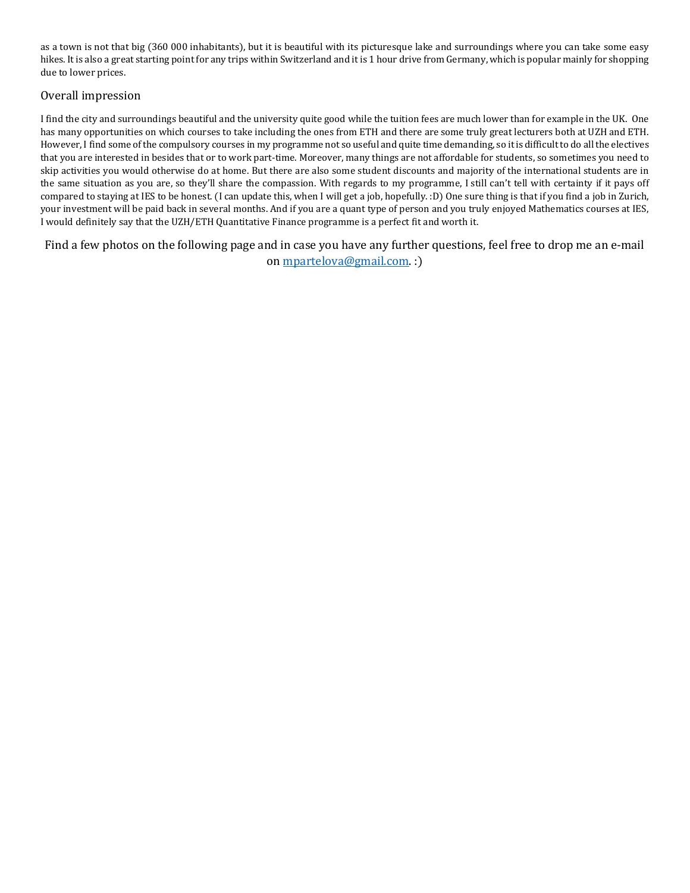as a town is not that big (360 000 inhabitants), but it is beautiful with its picturesque lake and surroundings where you can take some easy hikes. It is also a great starting point for any trips within Switzerland and it is 1 hour drive from Germany, which is popular mainly for shopping due to lower prices.

## Overall impression

I find the city and surroundings beautiful and the university quite good while the tuition fees are much lower than for example in the UK. One has many opportunities on which courses to take including the ones from ETH and there are some truly great lecturers both at UZH and ETH. However, I find some of the compulsory courses in my programme not so useful and quite time demanding, so it is difficult to do all the electives that you are interested in besides that or to work part-time. Moreover, many things are not affordable for students, so sometimes you need to skip activities you would otherwise do at home. But there are also some student discounts and majority of the international students are in the same situation as you are, so they'll share the compassion. With regards to my programme, I still can't tell with certainty if it pays off compared to staying at IES to be honest. (I can update this, when I will get a job, hopefully. :D) One sure thing is that if you find a job in Zurich, your investment will be paid back in several months. And if you are a quant type of person and you truly enjoyed Mathematics courses at IES, I would definitely say that the UZH/ETH Quantitative Finance programme is a perfect fit and worth it.

Find a few photos on the following page and in case you have any further questions, feel free to drop me an e-mail on [mpartelova@gmail.com.](mailto:mpartelova@gmail.com) :)